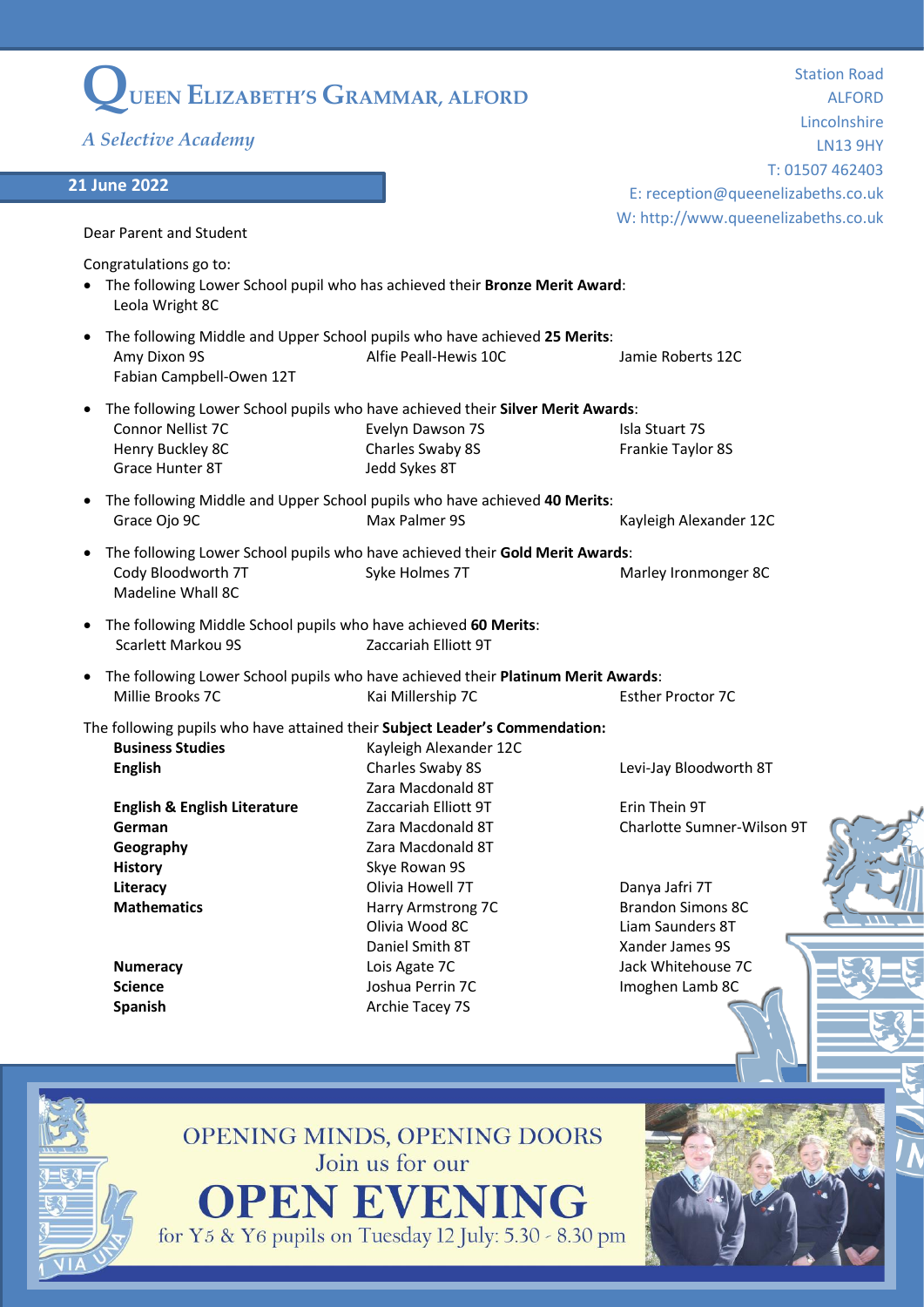| UEEN ELIZABETH'S GRAMMAR, ALFORD                                                                                           |                                                       | <b>Station Road</b>                         |
|----------------------------------------------------------------------------------------------------------------------------|-------------------------------------------------------|---------------------------------------------|
|                                                                                                                            |                                                       | <b>ALFORD</b><br>Lincolnshire               |
| A Selective Academy                                                                                                        |                                                       | <b>LN13 9HY</b>                             |
|                                                                                                                            |                                                       | T: 01507 462403                             |
| <b>21 June 2022</b>                                                                                                        |                                                       | E: reception@queenelizabeths.co.uk          |
|                                                                                                                            |                                                       | W: http://www.queenelizabeths.co.uk         |
| Dear Parent and Student                                                                                                    |                                                       |                                             |
| Congratulations go to:<br>• The following Lower School pupil who has achieved their Bronze Merit Award:<br>Leola Wright 8C |                                                       |                                             |
| The following Middle and Upper School pupils who have achieved 25 Merits:<br>Amy Dixon 9S<br>Fabian Campbell-Owen 12T      | Alfie Peall-Hewis 10C                                 | Jamie Roberts 12C                           |
| The following Lower School pupils who have achieved their Silver Merit Awards:<br>$\bullet$                                |                                                       |                                             |
| Connor Nellist 7C<br>Henry Buckley 8C<br>Grace Hunter 8T                                                                   | Evelyn Dawson 7S<br>Charles Swaby 8S<br>Jedd Sykes 8T | Isla Stuart 7S<br>Frankie Taylor 8S         |
|                                                                                                                            |                                                       |                                             |
| The following Middle and Upper School pupils who have achieved 40 Merits:<br>$\bullet$<br>Grace Ojo 9C                     | Max Palmer 9S                                         | Kayleigh Alexander 12C                      |
| The following Lower School pupils who have achieved their Gold Merit Awards:<br>Cody Bloodworth 7T<br>Madeline Whall 8C    | Syke Holmes 7T                                        | Marley Ironmonger 8C                        |
| The following Middle School pupils who have achieved 60 Merits:<br>Scarlett Markou 9S                                      | Zaccariah Elliott 9T                                  |                                             |
| • The following Lower School pupils who have achieved their Platinum Merit Awards:<br>Millie Brooks 7C                     | Kai Millership 7C                                     | <b>Esther Proctor 7C</b>                    |
| The following pupils who have attained their Subject Leader's Commendation:                                                |                                                       |                                             |
| <b>Business Studies</b>                                                                                                    | Kayleigh Alexander 12C                                |                                             |
| <b>English</b>                                                                                                             | Charles Swaby 8S                                      | Levi-Jay Bloodworth 8T                      |
|                                                                                                                            | Zara Macdonald 8T                                     |                                             |
| <b>English &amp; English Literature</b>                                                                                    | Zaccariah Elliott 9T                                  | Erin Thein 9T<br>Charlotte Sumner-Wilson 9T |
| German<br>Geography                                                                                                        | Zara Macdonald 8T<br>Zara Macdonald 8T                |                                             |
| <b>History</b>                                                                                                             | Skye Rowan 9S                                         |                                             |
| Literacy                                                                                                                   | Olivia Howell 7T                                      | Danya Jafri 7T                              |
| <b>Mathematics</b>                                                                                                         | Harry Armstrong 7C                                    | <b>Brandon Simons 8C</b>                    |
|                                                                                                                            | Olivia Wood 8C                                        | Liam Saunders 8T                            |
|                                                                                                                            | Daniel Smith 8T                                       | Xander James 9S                             |
| <b>Numeracy</b>                                                                                                            | Lois Agate 7C                                         | Jack Whitehouse 7C                          |
| <b>Science</b>                                                                                                             | Joshua Perrin 7C                                      | Imoghen Lamb 8C                             |
| <b>Spanish</b>                                                                                                             | Archie Tacey 7S                                       |                                             |
|                                                                                                                            |                                                       |                                             |
|                                                                                                                            | OPENING MINDS, OPENING DOORS                          |                                             |

Join us for our **OPEN EVENING**<br>for Y5 & Y6 pupils on Tuesday 12 July: 5.30 - 8.30 pm

<u>g=5,g=</u>